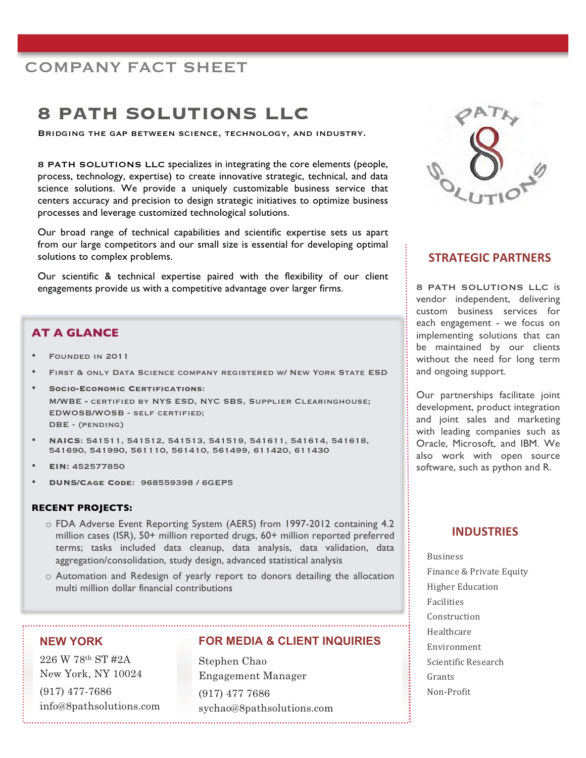## COMPANY FACT SHEET

# **8 PATH SOLUTIONS LLC**

Bridging the gap between science, technology, and industry.

8 PATH SOLUTIONS LLC specializes in integrating the core elements (people, process, technology, expertise) to create innovative strategic, technical, and data science solutions. We provide a uniquely customizable business service that centers accuracy and precision to design strategic initiatives to optimize business processes and leverage customized technological solutions.

Our broad range of technical capabilities and scientific expertise sets us apart from our large competitors and our small size is essential for developing optimal solutions to complex problems.

Our scientific & technical expertise paired with the flexibility of our client engagements provide us with a competitive advantage over larger firms.

## **AT A GLANCE**

- Founded in 2011
- First & only Data Science company registered w/ New York State ESD
- **Socio-Economic Certifications**: M/WBE **-** certified by NYS ESD, NYC SBS, Supplier Clearinghouse; EDWOSB/WOSB - self certified; DBE - (pending)
- **NAICS**: 541511, 541512, 541513, 541519, 541611, 541614, 541618, 541690, 541990, 561110, 561410, 561499, 611420, 611430
- **EIN:** 452577850
- **DUNS/Cage Code**: 968559398 / 6GEP5

#### **RECENT PROJECTS:**

- o FDA Adverse Event Reporting System (AERS) from 1997-2012 containing 4.2 million cases (ISR), 50+ million reported drugs, 60+ million reported preferred terms; tasks included data cleanup, data analysis, data validation, data aggregation/consolidation, study design, advanced statistical analysis
- o Automation and Redesign of yearly report to donors detailing the allocation multi million dollar financial contributions

## **NEW YORK**

226 W 78<sup>th</sup> ST #2A<br>New York, NY 10024 New York, NY 10024  $(917)$  477-7686<br>info@8pathsolutions.com info@8pathsolutions.com

#### **FOR MEDIA & CLIENT INQUIRIES**

stephen chao<br>En se seurant M  $E_{\rm C}$  $(917)$  477 7686<br>sychao@8pathsolutions.com sychao@8pathsolutions.com



## **STRATEGIC PARTNERS**

8 PATH SOLUTIONS LLC is vendor independent, delivering custom business services for each engagement - we focus on implementing solutions that can be maintained by our clients without the need for long term and ongoing support.

Our partnerships facilitate joint development, product integration and joint sales and marketing with leading companies such as Oracle, Microsoft, and IBM. We also work with open source software, such as python and R.

## **INDUSTRIES**

Business Finance & Private Equity **Higher Education** Facilities Construction Healthcare Environment Scientific Research Grants Non-Profit